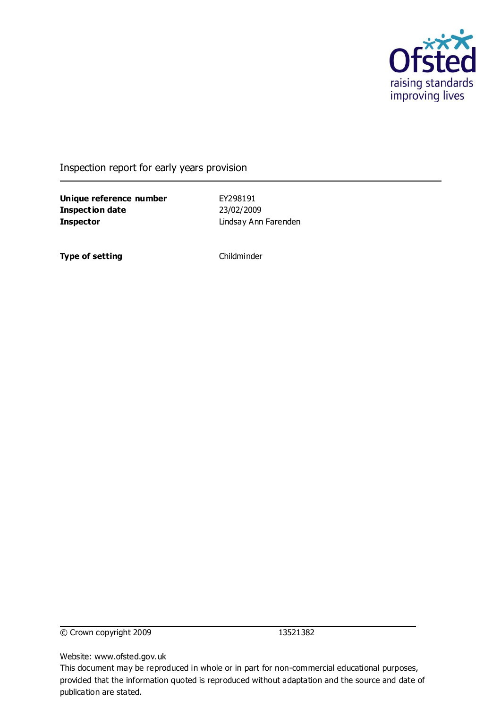

Inspection report for early years provision

**Unique reference number** EY298191 **Inspection date** 23/02/2009 **Inspector** Lindsay Ann Farenden

**Type of setting** Childminder

© Crown copyright 2009 13521382

Website: www.ofsted.gov.uk

This document may be reproduced in whole or in part for non-commercial educational purposes, provided that the information quoted is reproduced without adaptation and the source and date of publication are stated.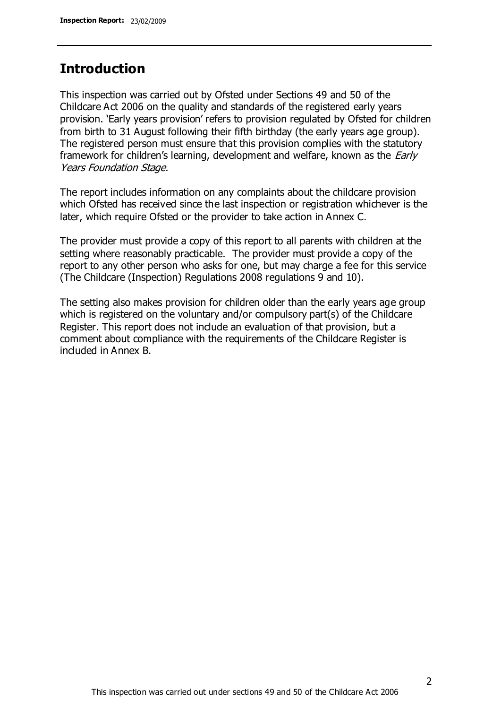# **Introduction**

This inspection was carried out by Ofsted under Sections 49 and 50 of the Childcare Act 2006 on the quality and standards of the registered early years provision. 'Early years provision' refers to provision regulated by Ofsted for children from birth to 31 August following their fifth birthday (the early years age group). The registered person must ensure that this provision complies with the statutory framework for children's learning, development and welfare, known as the *Early* Years Foundation Stage.

The report includes information on any complaints about the childcare provision which Ofsted has received since the last inspection or registration whichever is the later, which require Ofsted or the provider to take action in Annex C.

The provider must provide a copy of this report to all parents with children at the setting where reasonably practicable. The provider must provide a copy of the report to any other person who asks for one, but may charge a fee for this service (The Childcare (Inspection) Regulations 2008 regulations 9 and 10).

The setting also makes provision for children older than the early years age group which is registered on the voluntary and/or compulsory part(s) of the Childcare Register. This report does not include an evaluation of that provision, but a comment about compliance with the requirements of the Childcare Register is included in Annex B.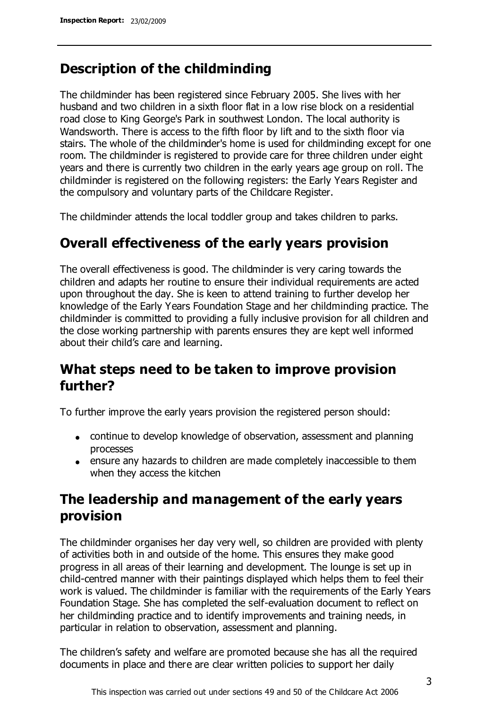# **Description of the childminding**

The childminder has been registered since February 2005. She lives with her husband and two children in a sixth floor flat in a low rise block on a residential road close to King George's Park in southwest London. The local authority is Wandsworth. There is access to the fifth floor by lift and to the sixth floor via stairs. The whole of the childminder's home is used for childminding except for one room. The childminder is registered to provide care for three children under eight years and there is currently two children in the early years age group on roll. The childminder is registered on the following registers: the Early Years Register and the compulsory and voluntary parts of the Childcare Register.

The childminder attends the local toddler group and takes children to parks.

# **Overall effectiveness of the early years provision**

The overall effectiveness is good. The childminder is very caring towards the children and adapts her routine to ensure their individual requirements are acted upon throughout the day. She is keen to attend training to further develop her knowledge of the Early Years Foundation Stage and her childminding practice. The childminder is committed to providing a fully inclusive provision for all children and the close working partnership with parents ensures they are kept well informed about their child's care and learning.

# **What steps need to be taken to improve provision further?**

To further improve the early years provision the registered person should:

- continue to develop knowledge of observation, assessment and planning processes
- ensure any hazards to children are made completely inaccessible to them when they access the kitchen

# **The leadership and management of the early years provision**

The childminder organises her day very well, so children are provided with plenty of activities both in and outside of the home. This ensures they make good progress in all areas of their learning and development. The lounge is set up in child-centred manner with their paintings displayed which helps them to feel their work is valued. The childminder is familiar with the requirements of the Early Years Foundation Stage. She has completed the self-evaluation document to reflect on her childminding practice and to identify improvements and training needs, in particular in relation to observation, assessment and planning.

The children's safety and welfare are promoted because she has all the required documents in place and there are clear written policies to support her daily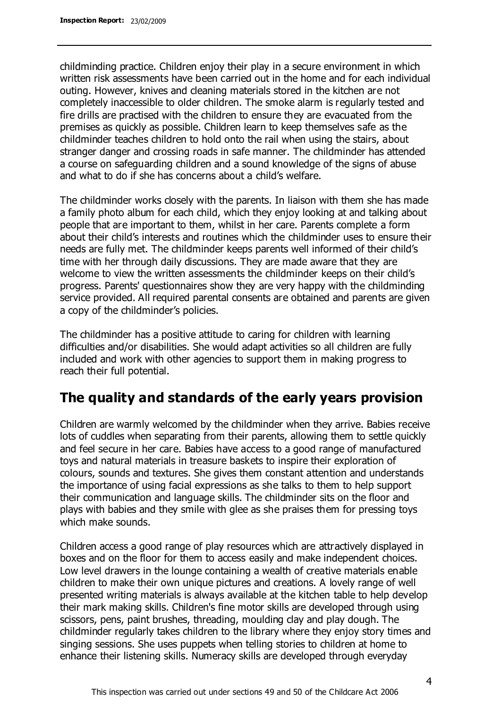childminding practice. Children enjoy their play in a secure environment in which written risk assessments have been carried out in the home and for each individual outing. However, knives and cleaning materials stored in the kitchen are not completely inaccessible to older children. The smoke alarm is regularly tested and fire drills are practised with the children to ensure they are evacuated from the premises as quickly as possible. Children learn to keep themselves safe as the childminder teaches children to hold onto the rail when using the stairs, about stranger danger and crossing roads in safe manner. The childminder has attended a course on safeguarding children and a sound knowledge of the signs of abuse and what to do if she has concerns about a child's welfare.

The childminder works closely with the parents. In liaison with them she has made a family photo album for each child, which they enjoy looking at and talking about people that are important to them, whilst in her care. Parents complete a form about their child's interests and routines which the childminder uses to ensure their needs are fully met. The childminder keeps parents well informed of their child's time with her through daily discussions. They are made aware that they are welcome to view the written assessments the childminder keeps on their child's progress. Parents' questionnaires show they are very happy with the childminding service provided. All required parental consents are obtained and parents are given a copy of the childminder's policies.

The childminder has a positive attitude to caring for children with learning difficulties and/or disabilities. She would adapt activities so all children are fully included and work with other agencies to support them in making progress to reach their full potential.

# **The quality and standards of the early years provision**

Children are warmly welcomed by the childminder when they arrive. Babies receive lots of cuddles when separating from their parents, allowing them to settle quickly and feel secure in her care. Babies have access to a good range of manufactured toys and natural materials in treasure baskets to inspire their exploration of colours, sounds and textures. She gives them constant attention and understands the importance of using facial expressions as she talks to them to help support their communication and language skills. The childminder sits on the floor and plays with babies and they smile with glee as she praises them for pressing toys which make sounds.

Children access a good range of play resources which are attractively displayed in boxes and on the floor for them to access easily and make independent choices. Low level drawers in the lounge containing a wealth of creative materials enable children to make their own unique pictures and creations. A lovely range of well presented writing materials is always available at the kitchen table to help develop their mark making skills. Children's fine motor skills are developed through using scissors, pens, paint brushes, threading, moulding clay and play dough. The childminder regularly takes children to the library where they enjoy story times and singing sessions. She uses puppets when telling stories to children at home to enhance their listening skills. Numeracy skills are developed through everyday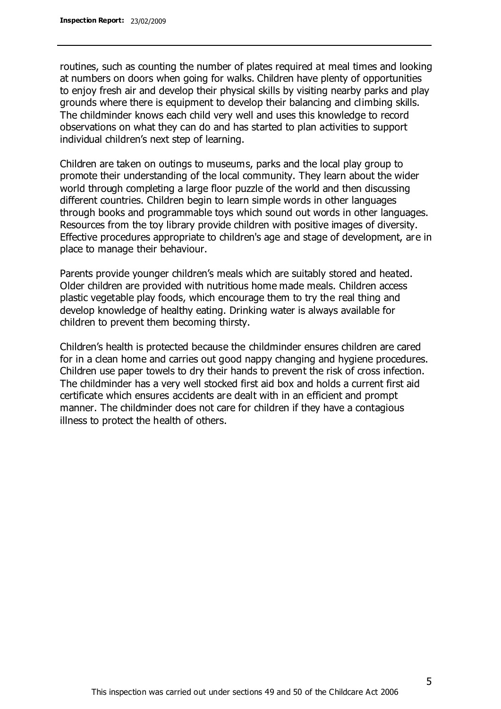routines, such as counting the number of plates required at meal times and looking at numbers on doors when going for walks. Children have plenty of opportunities to enjoy fresh air and develop their physical skills by visiting nearby parks and play grounds where there is equipment to develop their balancing and climbing skills. The childminder knows each child very well and uses this knowledge to record observations on what they can do and has started to plan activities to support individual children's next step of learning.

Children are taken on outings to museums, parks and the local play group to promote their understanding of the local community. They learn about the wider world through completing a large floor puzzle of the world and then discussing different countries. Children begin to learn simple words in other languages through books and programmable toys which sound out words in other languages. Resources from the toy library provide children with positive images of diversity. Effective procedures appropriate to children's age and stage of development, are in place to manage their behaviour.

Parents provide younger children's meals which are suitably stored and heated. Older children are provided with nutritious home made meals. Children access plastic vegetable play foods, which encourage them to try the real thing and develop knowledge of healthy eating. Drinking water is always available for children to prevent them becoming thirsty.

Children's health is protected because the childminder ensures children are cared for in a clean home and carries out good nappy changing and hygiene procedures. Children use paper towels to dry their hands to prevent the risk of cross infection. The childminder has a very well stocked first aid box and holds a current first aid certificate which ensures accidents are dealt with in an efficient and prompt manner. The childminder does not care for children if they have a contagious illness to protect the health of others.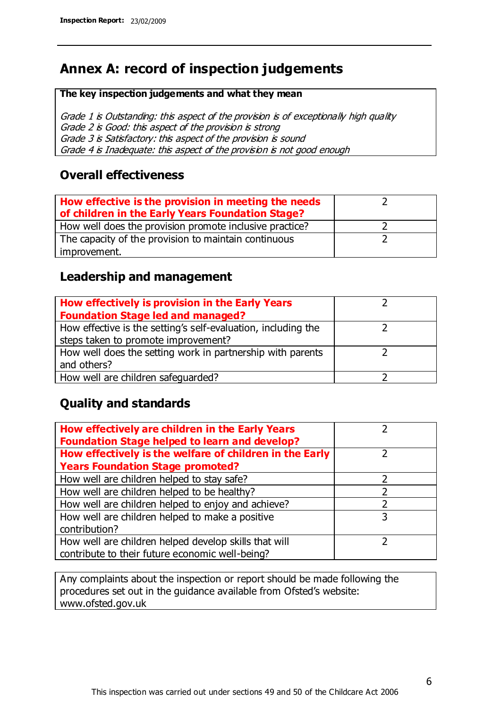# **Annex A: record of inspection judgements**

#### **The key inspection judgements and what they mean**

Grade 1 is Outstanding: this aspect of the provision is of exceptionally high quality Grade 2 is Good: this aspect of the provision is strong Grade 3 is Satisfactory: this aspect of the provision is sound Grade 4 is Inadequate: this aspect of the provision is not good enough

### **Overall effectiveness**

| How effective is the provision in meeting the needs<br>of children in the Early Years Foundation Stage? |  |
|---------------------------------------------------------------------------------------------------------|--|
| How well does the provision promote inclusive practice?                                                 |  |
| The capacity of the provision to maintain continuous                                                    |  |
| improvement.                                                                                            |  |

### **Leadership and management**

| How effectively is provision in the Early Years               |  |
|---------------------------------------------------------------|--|
| <b>Foundation Stage led and managed?</b>                      |  |
| How effective is the setting's self-evaluation, including the |  |
| steps taken to promote improvement?                           |  |
| How well does the setting work in partnership with parents    |  |
| and others?                                                   |  |
| How well are children safequarded?                            |  |

# **Quality and standards**

| How effectively are children in the Early Years<br><b>Foundation Stage helped to learn and develop?</b> |   |
|---------------------------------------------------------------------------------------------------------|---|
| How effectively is the welfare of children in the Early                                                 | ר |
| <b>Years Foundation Stage promoted?</b>                                                                 |   |
| How well are children helped to stay safe?                                                              |   |
| How well are children helped to be healthy?                                                             |   |
| How well are children helped to enjoy and achieve?                                                      | 2 |
| How well are children helped to make a positive                                                         | 3 |
| contribution?                                                                                           |   |
| How well are children helped develop skills that will                                                   |   |
| contribute to their future economic well-being?                                                         |   |

Any complaints about the inspection or report should be made following the procedures set out in the guidance available from Ofsted's website: www.ofsted.gov.uk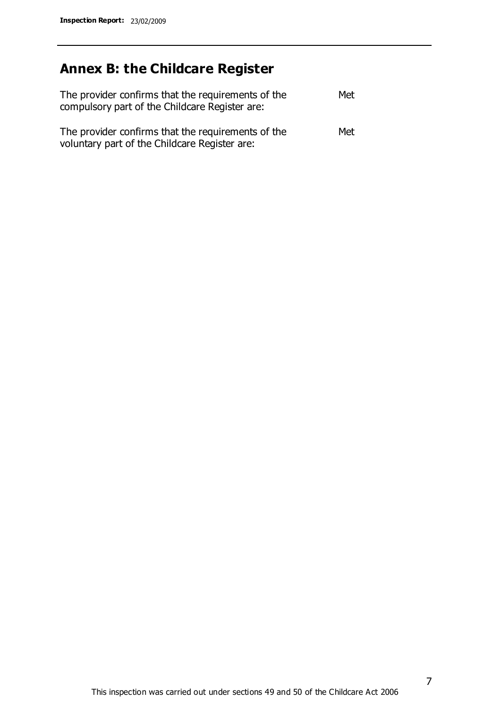# **Annex B: the Childcare Register**

| The provider confirms that the requirements of the<br>compulsory part of the Childcare Register are: | Met |
|------------------------------------------------------------------------------------------------------|-----|
| The provider confirms that the requirements of the<br>voluntary part of the Childcare Register are:  | Met |